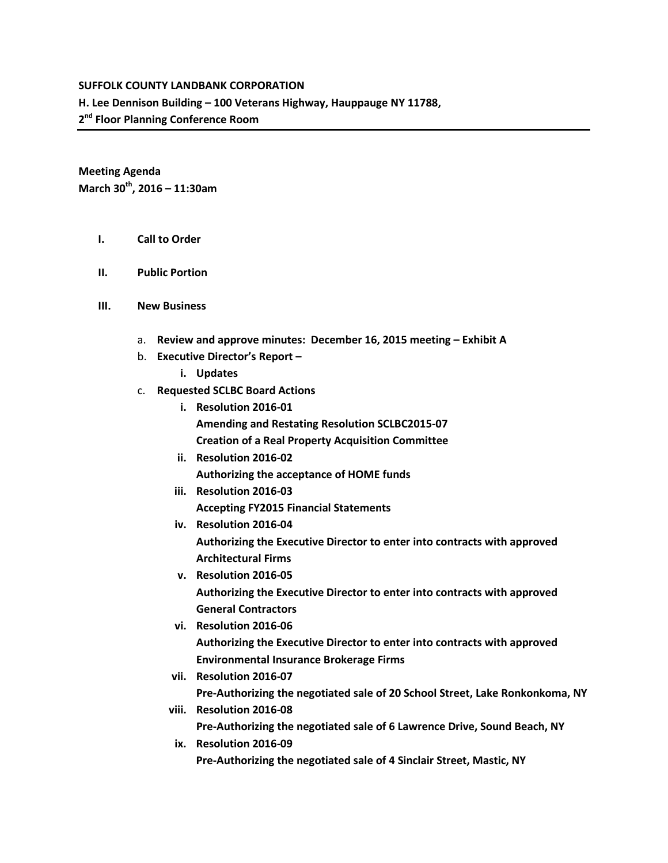## **SUFFOLK COUNTY LANDBANK CORPORATION**

**H. Lee Dennison Building – 100 Veterans Highway, Hauppauge NY 11788,** 

**2nd Floor Planning Conference Room**

**Meeting Agenda March 30th, 2016 – 11:30am**

- **I. Call to Order**
- **II. Public Portion**
- **III. New Business**
	- a. **Review and approve minutes: December 16, 2015 meeting – Exhibit A**
	- b. **Executive Director's Report –**
		- **i. Updates**
	- c. **Requested SCLBC Board Actions** 
		- **i. Resolution 2016-01 Amending and Restating Resolution SCLBC2015-07 Creation of a Real Property Acquisition Committee**
		- **ii. Resolution 2016-02 Authorizing the acceptance of HOME funds**
		- **iii. Resolution 2016-03 Accepting FY2015 Financial Statements**
		- **iv. Resolution 2016-04**

**Authorizing the Executive Director to enter into contracts with approved Architectural Firms**

- **v. Resolution 2016-05 Authorizing the Executive Director to enter into contracts with approved General Contractors**
- **vi. Resolution 2016-06 Authorizing the Executive Director to enter into contracts with approved Environmental Insurance Brokerage Firms**
- **vii. Resolution 2016-07 Pre-Authorizing the negotiated sale of 20 School Street, Lake Ronkonkoma, NY**
- **viii. Resolution 2016-08 Pre-Authorizing the negotiated sale of 6 Lawrence Drive, Sound Beach, NY**
- **ix. Resolution 2016-09 Pre-Authorizing the negotiated sale of 4 Sinclair Street, Mastic, NY**